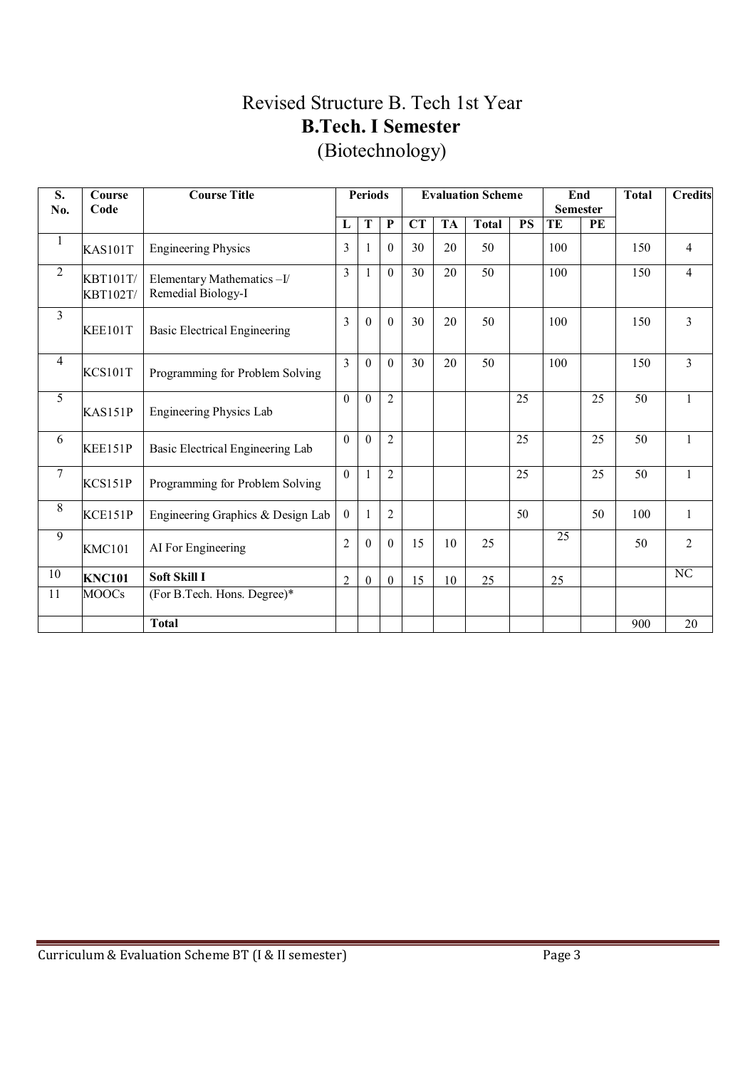# Revised Structure B. Tech 1st Year **B.Tech. I Semester**  (Biotechnology)

| S.<br>No.               | Course<br>Code                     | <b>Course Title</b>                             | <b>Periods</b> |              |                |                        | <b>Evaluation Scheme</b> |              | End<br><b>Semester</b> |     | <b>Total</b> | <b>Credits</b> |                |
|-------------------------|------------------------------------|-------------------------------------------------|----------------|--------------|----------------|------------------------|--------------------------|--------------|------------------------|-----|--------------|----------------|----------------|
|                         |                                    |                                                 | L              | T            | $\overline{P}$ | $\overline{\text{CT}}$ | <b>TA</b>                | <b>Total</b> | <b>PS</b>              | TE  | PE           |                |                |
| $\mathbf{1}$            | <b>KAS101T</b>                     | <b>Engineering Physics</b>                      | 3              | -1           | $\theta$       | 30                     | 20                       | 50           |                        | 100 |              | 150            | $\overline{4}$ |
| $\overline{2}$          | <b>KBT101T/</b><br><b>KBT102T/</b> | Elementary Mathematics-I/<br>Remedial Biology-I | $\overline{3}$ |              | $\Omega$       | 30                     | 20                       | 50           |                        | 100 |              | 150            | $\overline{4}$ |
| $\overline{\mathbf{3}}$ | <b>KEE101T</b>                     | <b>Basic Electrical Engineering</b>             | 3              | $\Omega$     | $\mathbf{0}$   | 30                     | 20                       | 50           |                        | 100 |              | 150            | $\overline{3}$ |
| $\overline{4}$          | KCS101T                            | Programming for Problem Solving                 | $\overline{3}$ | $\Omega$     | $\Omega$       | 30                     | 20                       | 50           |                        | 100 |              | 150            | $\overline{3}$ |
| 5                       | KAS151P                            | Engineering Physics Lab                         | $\mathbf{0}$   | $\theta$     | $\overline{2}$ |                        |                          |              | 25                     |     | 25           | 50             | $\mathbf{1}$   |
| 6                       | KEE151P                            | Basic Electrical Engineering Lab                | $\theta$       | $\Omega$     | $\overline{2}$ |                        |                          |              | 25                     |     | 25           | 50             | 1              |
| $\boldsymbol{7}$        | KCS151P                            | Programming for Problem Solving                 | $\theta$       | $\mathbf{1}$ | $\overline{2}$ |                        |                          |              | 25                     |     | 25           | 50             | $\mathbf{1}$   |
| 8                       | KCE151P                            | Engineering Graphics & Design Lab               | $\theta$       | -1           | $\overline{2}$ |                        |                          |              | 50                     |     | 50           | 100            | 1              |
| $\overline{9}$          | <b>KMC101</b>                      | AI For Engineering                              | $\overline{2}$ | $\Omega$     | $\theta$       | 15                     | 10                       | 25           |                        | 25  |              | 50             | $\overline{2}$ |
| 10                      | <b>KNC101</b>                      | <b>Soft Skill I</b>                             | 2              | $\theta$     | $\theta$       | 15                     | 10                       | 25           |                        | 25  |              |                | NC             |
| 11                      | <b>MOOCs</b>                       | (For B.Tech. Hons. Degree)*                     |                |              |                |                        |                          |              |                        |     |              |                |                |
|                         |                                    | <b>Total</b>                                    |                |              |                |                        |                          |              |                        |     |              | 900            | 20             |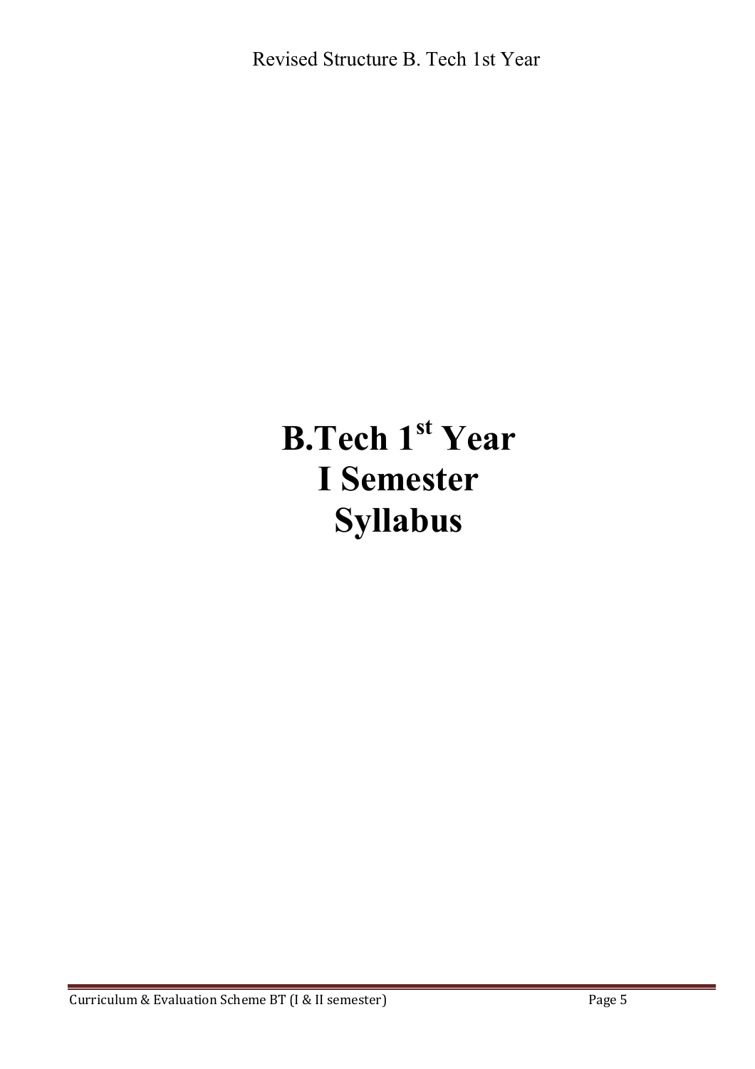# **B.Tech 1st Year I Semester Syllabus**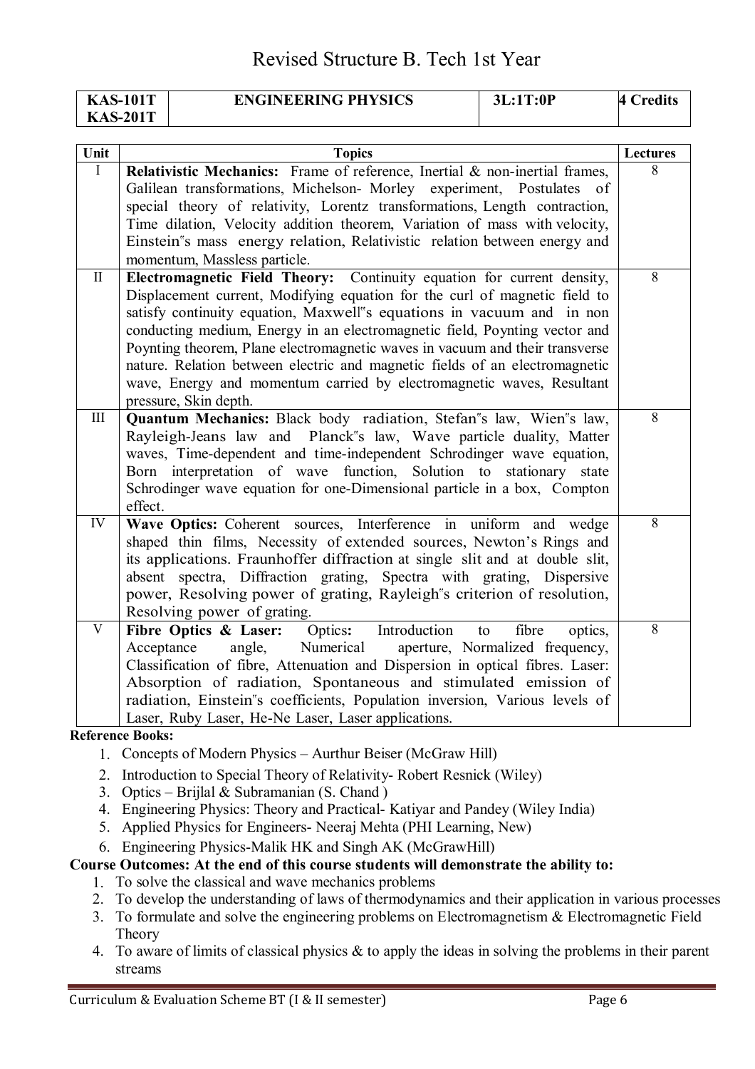| <b>KAS-101T</b> | <b>ENGINEERING PHYSICS</b> | 3L:1T:0P | redits' |
|-----------------|----------------------------|----------|---------|
| <b>KAS-201T</b> |                            |          |         |

| Unit         | <b>Topics</b>                                                                                                                                | Lectures |
|--------------|----------------------------------------------------------------------------------------------------------------------------------------------|----------|
| I            | Relativistic Mechanics: Frame of reference, Inertial & non-inertial frames,                                                                  | 8        |
|              | Galilean transformations, Michelson- Morley experiment, Postulates of                                                                        |          |
|              | special theory of relativity, Lorentz transformations, Length contraction,                                                                   |          |
|              | Time dilation, Velocity addition theorem, Variation of mass with velocity,                                                                   |          |
|              | Einstein"s mass energy relation, Relativistic relation between energy and                                                                    |          |
|              | momentum, Massless particle.                                                                                                                 |          |
| $\mathbf{I}$ | Electromagnetic Field Theory: Continuity equation for current density,                                                                       | $\,8\,$  |
|              | Displacement current, Modifying equation for the curl of magnetic field to                                                                   |          |
|              | satisfy continuity equation, Maxwell"s equations in vacuum and in non                                                                        |          |
|              | conducting medium, Energy in an electromagnetic field, Poynting vector and                                                                   |          |
|              | Poynting theorem, Plane electromagnetic waves in vacuum and their transverse                                                                 |          |
|              | nature. Relation between electric and magnetic fields of an electromagnetic                                                                  |          |
|              | wave, Energy and momentum carried by electromagnetic waves, Resultant                                                                        |          |
|              | pressure, Skin depth.                                                                                                                        | 8        |
| III          | Quantum Mechanics: Black body radiation, Stefan's law, Wien's law,                                                                           |          |
|              | Rayleigh-Jeans law and Planck''s law, Wave particle duality, Matter<br>waves, Time-dependent and time-independent Schrodinger wave equation, |          |
|              | Born interpretation of wave function, Solution to stationary state                                                                           |          |
|              | Schrodinger wave equation for one-Dimensional particle in a box, Compton                                                                     |          |
|              | effect.                                                                                                                                      |          |
| IV           | Wave Optics: Coherent sources, Interference in uniform and wedge                                                                             | 8        |
|              | shaped thin films, Necessity of extended sources, Newton's Rings and                                                                         |          |
|              | its applications. Fraunhoffer diffraction at single slit and at double slit,                                                                 |          |
|              | absent spectra, Diffraction grating, Spectra with grating, Dispersive                                                                        |          |
|              | power, Resolving power of grating, Rayleigh''s criterion of resolution,                                                                      |          |
|              | Resolving power of grating.                                                                                                                  |          |
| V            | Fibre Optics & Laser:<br>Optics: Introduction<br>fibre<br>to<br>optics,                                                                      | 8        |
|              | Acceptance<br>Numerical<br>aperture, Normalized frequency,<br>angle,                                                                         |          |
|              | Classification of fibre, Attenuation and Dispersion in optical fibres. Laser:                                                                |          |
|              | Absorption of radiation, Spontaneous and stimulated emission of                                                                              |          |
|              | radiation, Einstein's coefficients, Population inversion, Various levels of                                                                  |          |
|              | Laser, Ruby Laser, He-Ne Laser, Laser applications.                                                                                          |          |
|              | Reference Rooks <sup>,</sup>                                                                                                                 |          |

**Reference** 

- 1. Concepts of Modern Physics Aurthur Beiser (McGraw Hill)
- 2. Introduction to Special Theory of Relativity- Robert Resnick (Wiley)
- 3. Optics Brijlal & Subramanian (S. Chand)
- 4. Engineering Physics: Theory and Practical- Katiyar and Pandey (Wiley India)
- 5. Applied Physics for Engineers- Neeraj Mehta (PHI Learning, New)
- 6. Engineering Physics-Malik HK and Singh AK (McGrawHill)

**Course Outcomes: At the end of this course students will demonstrate the ability to:** 

1. To solve the classical and wave mechanics problems

- 2. To develop the understanding of laws of thermodynamics and their application in various processes
- 3. To formulate and solve the engineering problems on Electromagnetism & Electromagnetic Field Theory
- 4. To aware of limits of classical physics & to apply the ideas in solving the problems in their parent streams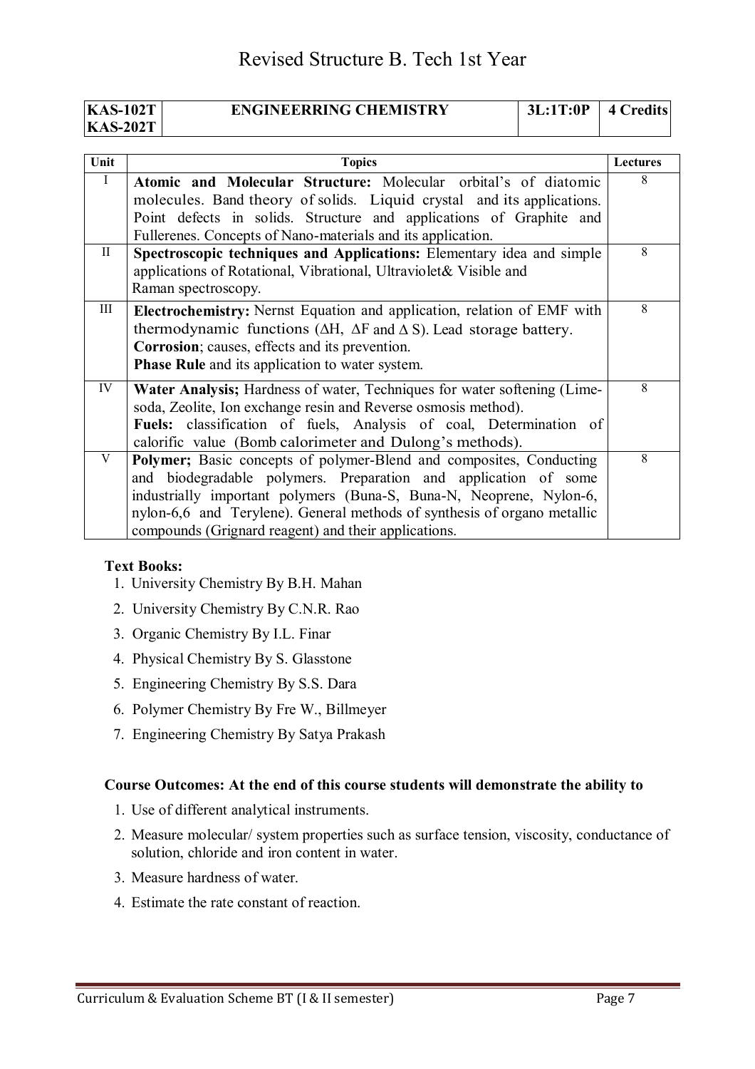| <b>KAS-102T</b> | <b>ENGINEERRING CHEMISTRY</b> | 3L:1T:0P | 4 Credits |
|-----------------|-------------------------------|----------|-----------|
| <b>KAS-202T</b> |                               |          |           |

| Unit      | <b>Topics</b>                                                                                                                                                                                                                                                                                                                                     | <b>Lectures</b> |
|-----------|---------------------------------------------------------------------------------------------------------------------------------------------------------------------------------------------------------------------------------------------------------------------------------------------------------------------------------------------------|-----------------|
| $\bf{I}$  | Atomic and Molecular Structure: Molecular orbital's of diatomic<br>molecules. Band theory of solids. Liquid crystal and its applications.<br>Point defects in solids. Structure and applications of Graphite and<br>Fullerenes. Concepts of Nano-materials and its application.                                                                   | 8               |
| $\rm{II}$ | Spectroscopic techniques and Applications: Elementary idea and simple<br>applications of Rotational, Vibrational, Ultraviolet& Visible and<br>Raman spectroscopy.                                                                                                                                                                                 | 8               |
| Ш         | <b>Electrochemistry:</b> Nernst Equation and application, relation of EMF with<br>thermodynamic functions ( $\Delta H$ , $\Delta F$ and $\Delta S$ ). Lead storage battery.<br>Corrosion; causes, effects and its prevention.<br><b>Phase Rule</b> and its application to water system.                                                           | 8               |
| IV        | Water Analysis; Hardness of water, Techniques for water softening (Lime-<br>soda, Zeolite, Ion exchange resin and Reverse osmosis method).<br>Fuels: classification of fuels, Analysis of coal, Determination of<br>calorific value (Bomb calorimeter and Dulong's methods).                                                                      | 8               |
| V         | Polymer; Basic concepts of polymer-Blend and composites, Conducting<br>and biodegradable polymers. Preparation and application of some<br>industrially important polymers (Buna-S, Buna-N, Neoprene, Nylon-6,<br>nylon-6,6 and Terylene). General methods of synthesis of organo metallic<br>compounds (Grignard reagent) and their applications. | 8               |

#### **Text Books:**

- 1. University Chemistry By B.H. Mahan
- 2. University Chemistry By C.N.R. Rao
- 3. Organic Chemistry By I.L. Finar
- 4. Physical Chemistry By S. Glasstone
- 5. Engineering Chemistry By S.S. Dara
- 6. Polymer Chemistry By Fre W., Billmeyer
- 7. Engineering Chemistry By Satya Prakash

#### **Course Outcomes: At the end of this course students will demonstrate the ability to**

- 1. Use of different analytical instruments.
- 2. Measure molecular/ system properties such as surface tension, viscosity, conductance of solution, chloride and iron content in water.
- 3. Measure hardness of water.
- 4. Estimate the rate constant of reaction.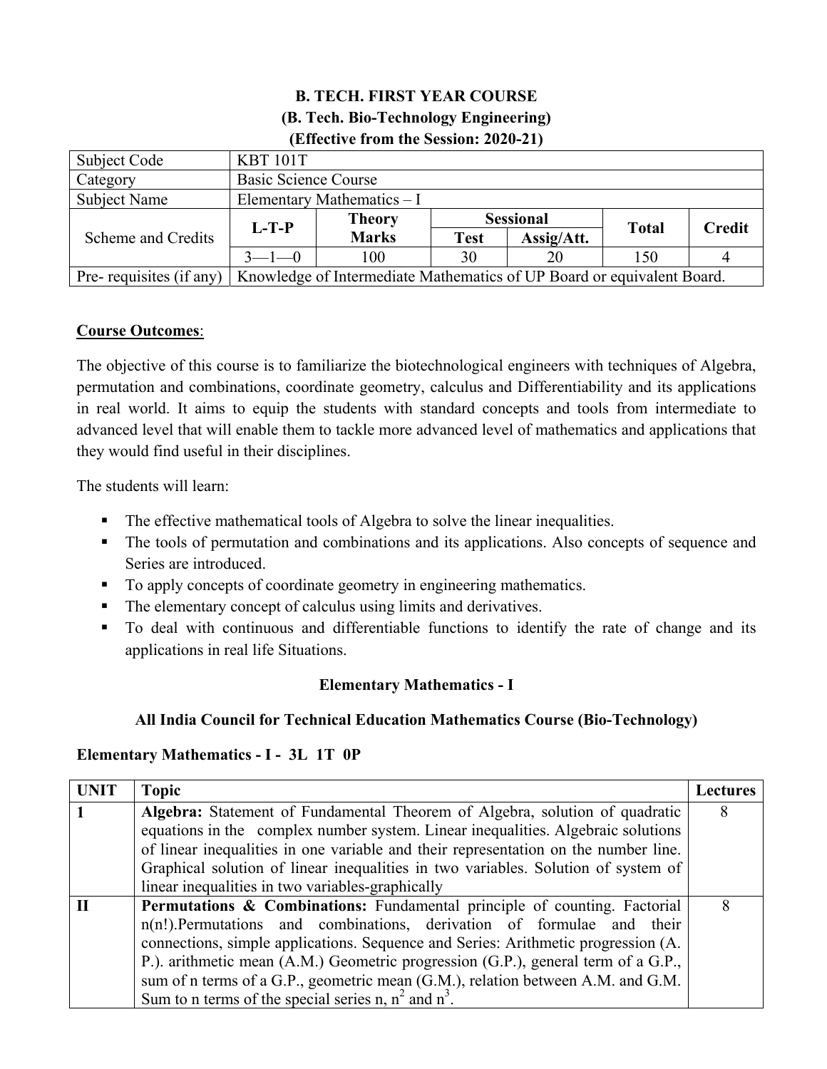## **B. TECH. FIRST YEAR COURSE (B. Tech. Bio-Technology Engineering) (Effective from the Session: 2020-21)**

| Subject Code            | <b>KBT 101T</b>                                                        |                            |                  |            |              |               |  |
|-------------------------|------------------------------------------------------------------------|----------------------------|------------------|------------|--------------|---------------|--|
| Category                | <b>Basic Science Course</b>                                            |                            |                  |            |              |               |  |
| <b>Subject Name</b>     |                                                                        | Elementary Mathematics - I |                  |            |              |               |  |
|                         |                                                                        | <b>Theory</b>              | <b>Sessional</b> |            |              | <b>Credit</b> |  |
| Scheme and Credits      | $L-T-P$                                                                | <b>Marks</b>               | <b>Test</b>      | Assig/Att. | <b>Total</b> |               |  |
|                         | $3 - 1 - 0$                                                            |                            | 30               | 20         | 150          |               |  |
| Pre-requisites (if any) | Knowledge of Intermediate Mathematics of UP Board or equivalent Board. |                            |                  |            |              |               |  |

## **Course Outcomes**:

The objective of this course is to familiarize the biotechnological engineers with techniques of Algebra, permutation and combinations, coordinate geometry, calculus and Differentiability and its applications in real world. It aims to equip the students with standard concepts and tools from intermediate to advanced level that will enable them to tackle more advanced level of mathematics and applications that they would find useful in their disciplines.

The students will learn:

- The effective mathematical tools of Algebra to solve the linear inequalities.
- The tools of permutation and combinations and its applications. Also concepts of sequence and Series are introduced.
- To apply concepts of coordinate geometry in engineering mathematics.
- The elementary concept of calculus using limits and derivatives.
- To deal with continuous and differentiable functions to identify the rate of change and its applications in real life Situations.

## **Elementary Mathematics - I**

#### **All India Council for Technical Education Mathematics Course (Bio-Technology)**

#### **Elementary Mathematics - I - 3L 1T 0P**

| <b>UNIT</b> | <b>Topic</b>                                                                                                                                                                                                                                                                                                                                                                                                                                                                     | Lectures |  |  |  |  |
|-------------|----------------------------------------------------------------------------------------------------------------------------------------------------------------------------------------------------------------------------------------------------------------------------------------------------------------------------------------------------------------------------------------------------------------------------------------------------------------------------------|----------|--|--|--|--|
|             | Algebra: Statement of Fundamental Theorem of Algebra, solution of quadratic<br>equations in the complex number system. Linear inequalities. Algebraic solutions<br>of linear inequalities in one variable and their representation on the number line.<br>Graphical solution of linear inequalities in two variables. Solution of system of                                                                                                                                      | 8        |  |  |  |  |
|             | linear inequalities in two variables-graphically                                                                                                                                                                                                                                                                                                                                                                                                                                 |          |  |  |  |  |
|             | Permutations & Combinations: Fundamental principle of counting. Factorial<br>$n(n!)$ . Permutations and combinations, derivation of formulae and their<br>connections, simple applications. Sequence and Series: Arithmetic progression (A.<br>P.). arithmetic mean (A.M.) Geometric progression (G.P.), general term of a G.P.,<br>sum of n terms of a G.P., geometric mean (G.M.), relation between A.M. and G.M.<br>Sum to n terms of the special series n, $n^2$ and $n^3$ . | 8        |  |  |  |  |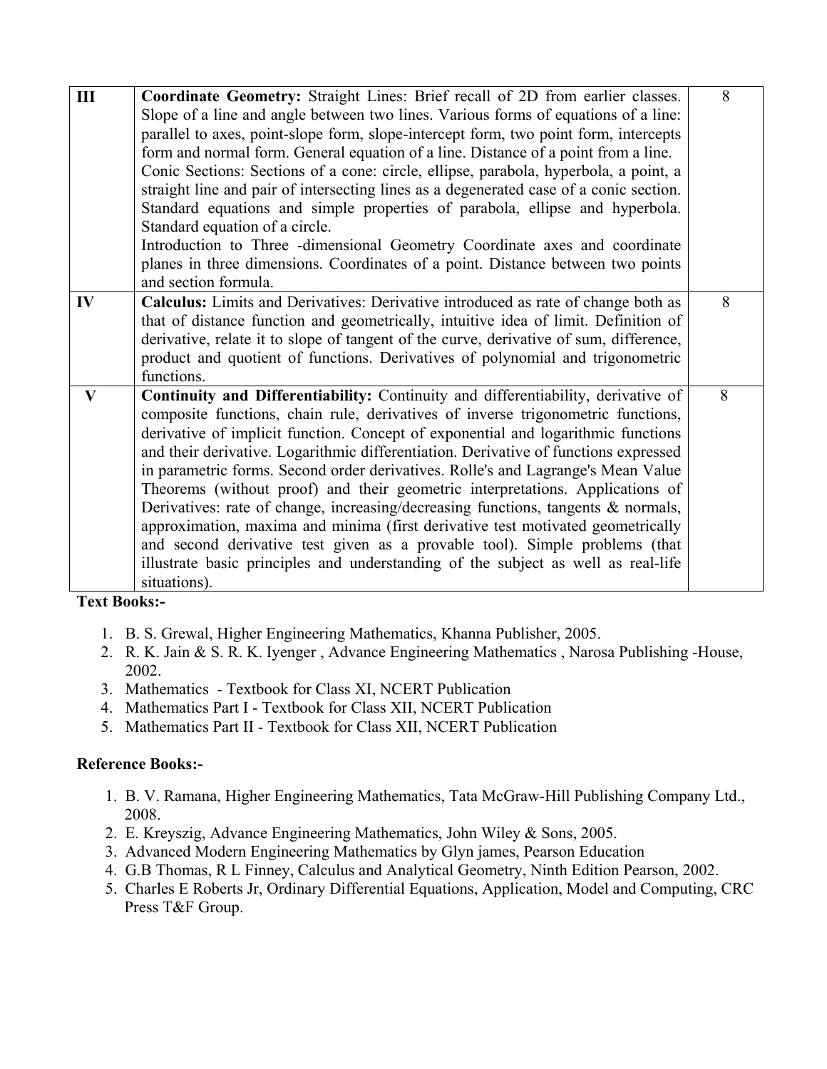| III          | Coordinate Geometry: Straight Lines: Brief recall of 2D from earlier classes.<br>Slope of a line and angle between two lines. Various forms of equations of a line:<br>parallel to axes, point-slope form, slope-intercept form, two point form, intercepts<br>form and normal form. General equation of a line. Distance of a point from a line.<br>Conic Sections: Sections of a cone: circle, ellipse, parabola, hyperbola, a point, a<br>straight line and pair of intersecting lines as a degenerated case of a conic section.<br>Standard equations and simple properties of parabola, ellipse and hyperbola.<br>Standard equation of a circle.<br>Introduction to Three -dimensional Geometry Coordinate axes and coordinate<br>planes in three dimensions. Coordinates of a point. Distance between two points<br>and section formula.                                      | 8 |
|--------------|-------------------------------------------------------------------------------------------------------------------------------------------------------------------------------------------------------------------------------------------------------------------------------------------------------------------------------------------------------------------------------------------------------------------------------------------------------------------------------------------------------------------------------------------------------------------------------------------------------------------------------------------------------------------------------------------------------------------------------------------------------------------------------------------------------------------------------------------------------------------------------------|---|
| IV           | Calculus: Limits and Derivatives: Derivative introduced as rate of change both as<br>that of distance function and geometrically, intuitive idea of limit. Definition of<br>derivative, relate it to slope of tangent of the curve, derivative of sum, difference,<br>product and quotient of functions. Derivatives of polynomial and trigonometric<br>functions.                                                                                                                                                                                                                                                                                                                                                                                                                                                                                                                  | 8 |
| $\mathbf{V}$ | Continuity and Differentiability: Continuity and differentiability, derivative of<br>composite functions, chain rule, derivatives of inverse trigonometric functions,<br>derivative of implicit function. Concept of exponential and logarithmic functions<br>and their derivative. Logarithmic differentiation. Derivative of functions expressed<br>in parametric forms. Second order derivatives. Rolle's and Lagrange's Mean Value<br>Theorems (without proof) and their geometric interpretations. Applications of<br>Derivatives: rate of change, increasing/decreasing functions, tangents & normals,<br>approximation, maxima and minima (first derivative test motivated geometrically<br>and second derivative test given as a provable tool). Simple problems (that<br>illustrate basic principles and understanding of the subject as well as real-life<br>situations). | 8 |

**Text Books:-** 

- 1. B. S. Grewal, Higher Engineering Mathematics, Khanna Publisher, 2005.
- 2. R. K. Jain & S. R. K. Iyenger , Advance Engineering Mathematics , Narosa Publishing -House, 2002.
- 3. Mathematics Textbook for Class XI, NCERT Publication
- 4. Mathematics Part I Textbook for Class XII, NCERT Publication
- 5. Mathematics Part II Textbook for Class XII, NCERT Publication

#### **Reference Books:-**

- 1. B. V. Ramana, Higher Engineering Mathematics, Tata McGraw-Hill Publishing Company Ltd., 2008.
- 2. E. Kreyszig, Advance Engineering Mathematics, John Wiley & Sons, 2005.
- 3. Advanced Modern Engineering Mathematics by Glyn james, Pearson Education
- 4. G.B Thomas, R L Finney, Calculus and Analytical Geometry, Ninth Edition Pearson, 2002.
- 5. Charles E Roberts Jr, Ordinary Differential Equations, Application, Model and Computing, CRC Press T&F Group.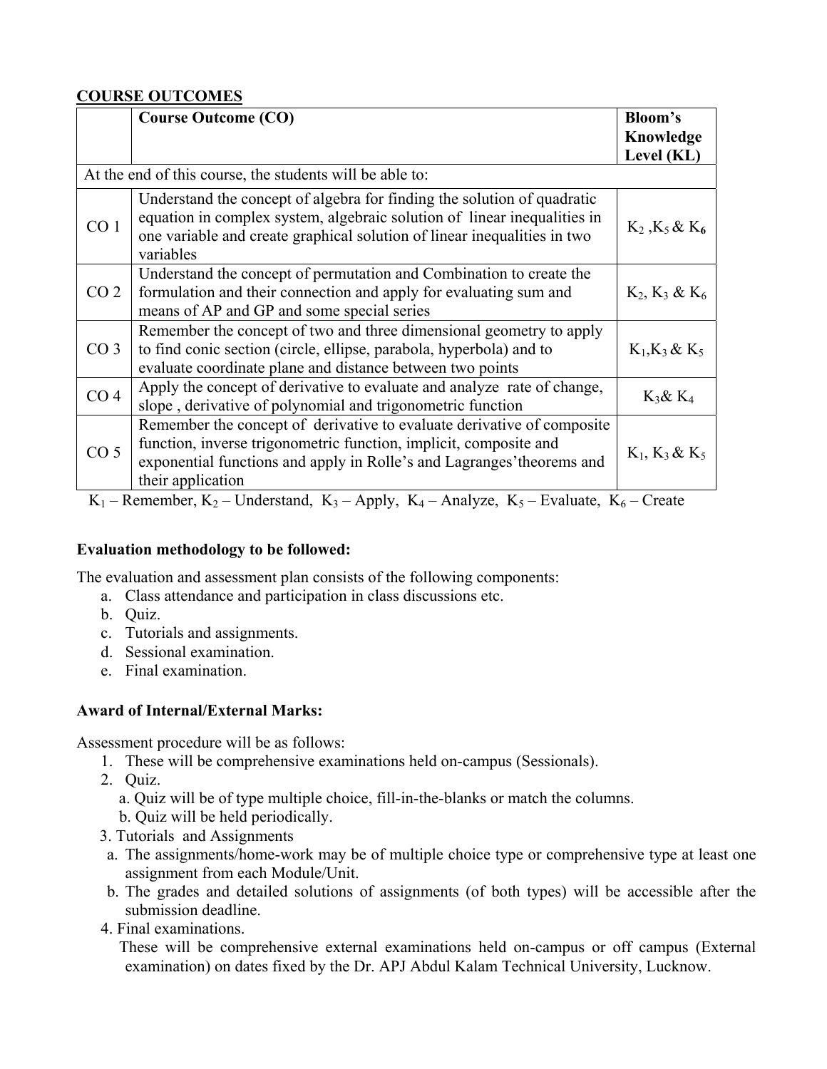## **COURSE OUTCOMES**

|                 | <b>Course Outcome (CO)</b>                                                                                                                                                                                                                                                                                                                                                                                                                                                                                                                                                       | Bloom's<br>Knowledge  |
|-----------------|----------------------------------------------------------------------------------------------------------------------------------------------------------------------------------------------------------------------------------------------------------------------------------------------------------------------------------------------------------------------------------------------------------------------------------------------------------------------------------------------------------------------------------------------------------------------------------|-----------------------|
|                 |                                                                                                                                                                                                                                                                                                                                                                                                                                                                                                                                                                                  | Level (KL)            |
|                 | At the end of this course, the students will be able to:                                                                                                                                                                                                                                                                                                                                                                                                                                                                                                                         |                       |
| CO <sub>1</sub> | Understand the concept of algebra for finding the solution of quadratic<br>equation in complex system, algebraic solution of linear inequalities in<br>one variable and create graphical solution of linear inequalities in two<br>variables                                                                                                                                                                                                                                                                                                                                     | $K_2$ , $K_5$ & $K_6$ |
| CO <sub>2</sub> | Understand the concept of permutation and Combination to create the<br>formulation and their connection and apply for evaluating sum and<br>means of AP and GP and some special series                                                                                                                                                                                                                                                                                                                                                                                           | $K_2, K_3 \& K_6$     |
| CO <sub>3</sub> | Remember the concept of two and three dimensional geometry to apply<br>to find conic section (circle, ellipse, parabola, hyperbola) and to<br>evaluate coordinate plane and distance between two points                                                                                                                                                                                                                                                                                                                                                                          | $K_1, K_3 \& K_5$     |
| CO <sub>4</sub> | Apply the concept of derivative to evaluate and analyze rate of change,<br>slope, derivative of polynomial and trigonometric function                                                                                                                                                                                                                                                                                                                                                                                                                                            | $K_3$ & $K_4$         |
| CO <sub>5</sub> | Remember the concept of derivative to evaluate derivative of composite<br>function, inverse trigonometric function, implicit, composite and<br>exponential functions and apply in Rolle's and Lagranges' theorems and<br>their application<br>$\mathbf{r}$ $\mathbf{r}$ $\mathbf{r}$ $\mathbf{r}$ $\mathbf{r}$ $\mathbf{r}$ $\mathbf{r}$ $\mathbf{r}$ $\mathbf{r}$ $\mathbf{r}$ $\mathbf{r}$ $\mathbf{r}$ $\mathbf{r}$ $\mathbf{r}$ $\mathbf{r}$ $\mathbf{r}$ $\mathbf{r}$ $\mathbf{r}$ $\mathbf{r}$ $\mathbf{r}$ $\mathbf{r}$ $\mathbf{r}$ $\mathbf{r}$ $\mathbf{r}$ $\mathbf{$ | $K_1, K_3 & K_5$      |

 $K_1$  – Remember,  $K_2$  – Understand,  $K_3$  – Apply,  $K_4$  – Analyze,  $K_5$  – Evaluate,  $K_6$  – Create

#### **Evaluation methodology to be followed:**

The evaluation and assessment plan consists of the following components:

- a. Class attendance and participation in class discussions etc.
	- b. Quiz.
	- c. Tutorials and assignments.
	- d. Sessional examination.
	- e. Final examination.

#### **Award of Internal/External Marks:**

Assessment procedure will be as follows:

- 1. These will be comprehensive examinations held on-campus (Sessionals).
- 2. Quiz.

a. Quiz will be of type multiple choice, fill-in-the-blanks or match the columns.

- b. Quiz will be held periodically.
- 3. Tutorials and Assignments
- a. The assignments/home-work may be of multiple choice type or comprehensive type at least one assignment from each Module/Unit.
- b. The grades and detailed solutions of assignments (of both types) will be accessible after the submission deadline.
- 4. Final examinations.

 These will be comprehensive external examinations held on-campus or off campus (External examination) on dates fixed by the Dr. APJ Abdul Kalam Technical University, Lucknow.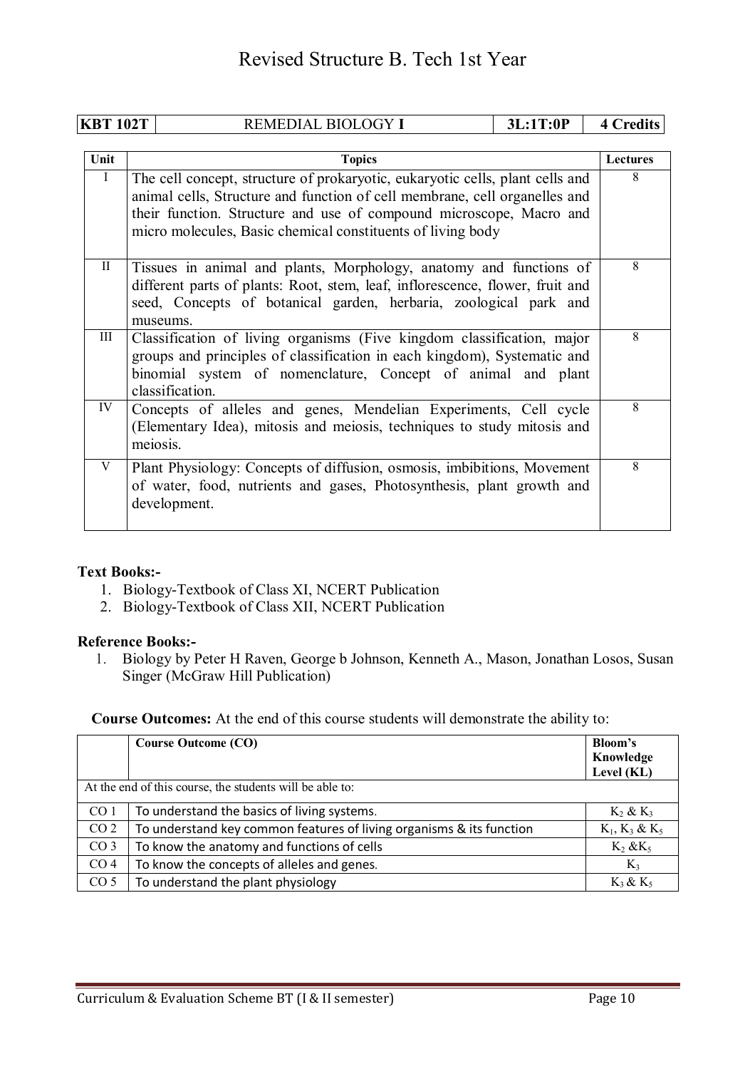| <b>KBT 102T</b> |          | REMEDIAL BIOLOGY I                                                                                                                                                                                                                                                                                | 3L:1T:0P | <b>4 Credits</b> |
|-----------------|----------|---------------------------------------------------------------------------------------------------------------------------------------------------------------------------------------------------------------------------------------------------------------------------------------------------|----------|------------------|
|                 |          |                                                                                                                                                                                                                                                                                                   |          |                  |
| Unit            |          | <b>Topics</b>                                                                                                                                                                                                                                                                                     |          | Lectures         |
| $\bf{I}$        |          | The cell concept, structure of prokaryotic, eukaryotic cells, plant cells and<br>animal cells, Structure and function of cell membrane, cell organelles and<br>their function. Structure and use of compound microscope, Macro and<br>micro molecules, Basic chemical constituents of living body |          | 8                |
| $\mathbf{I}$    |          | Tissues in animal and plants, Morphology, anatomy and functions of<br>different parts of plants: Root, stem, leaf, inflorescence, flower, fruit and<br>seed, Concepts of botanical garden, herbaria, zoological park and<br>museums.                                                              |          | 8                |
| III             |          | Classification of living organisms (Five kingdom classification, major<br>groups and principles of classification in each kingdom), Systematic and<br>binomial system of nomenclature, Concept of animal and plant<br>classification.                                                             |          | 8                |
| IV              | meiosis. | Concepts of alleles and genes, Mendelian Experiments, Cell cycle<br>(Elementary Idea), mitosis and meiosis, techniques to study mitosis and                                                                                                                                                       |          | 8                |
| V               |          | Plant Physiology: Concepts of diffusion, osmosis, imbibitions, Movement<br>of water, food, nutrients and gases, Photosynthesis, plant growth and<br>development.                                                                                                                                  |          | 8                |

#### **Text Books:-**

- 1. Biology-Textbook of Class XI, NCERT Publication
- 2. Biology-Textbook of Class XII, NCERT Publication

#### **Reference Books:-**

1. Biology by Peter H Raven, George b Johnson, Kenneth A., Mason, Jonathan Losos, Susan Singer (McGraw Hill Publication)

**Course Outcomes:** At the end of this course students will demonstrate the ability to:

|                 | <b>Course Outcome (CO)</b>                                           | Bloom's<br>Knowledge<br>Level (KL) |
|-----------------|----------------------------------------------------------------------|------------------------------------|
|                 | At the end of this course, the students will be able to:             |                                    |
| CO <sub>1</sub> | To understand the basics of living systems.                          | $K_2$ & $K_3$                      |
| CO <sub>2</sub> | To understand key common features of living organisms & its function | $K_1, K_3 \& K_5$                  |
| CO <sub>3</sub> | To know the anatomy and functions of cells                           | $K_2$ & $K_5$                      |
| CO <sub>4</sub> | To know the concepts of alleles and genes.                           | $K_3$                              |
| CO <sub>5</sub> | To understand the plant physiology                                   | $K_3 \& K_5$                       |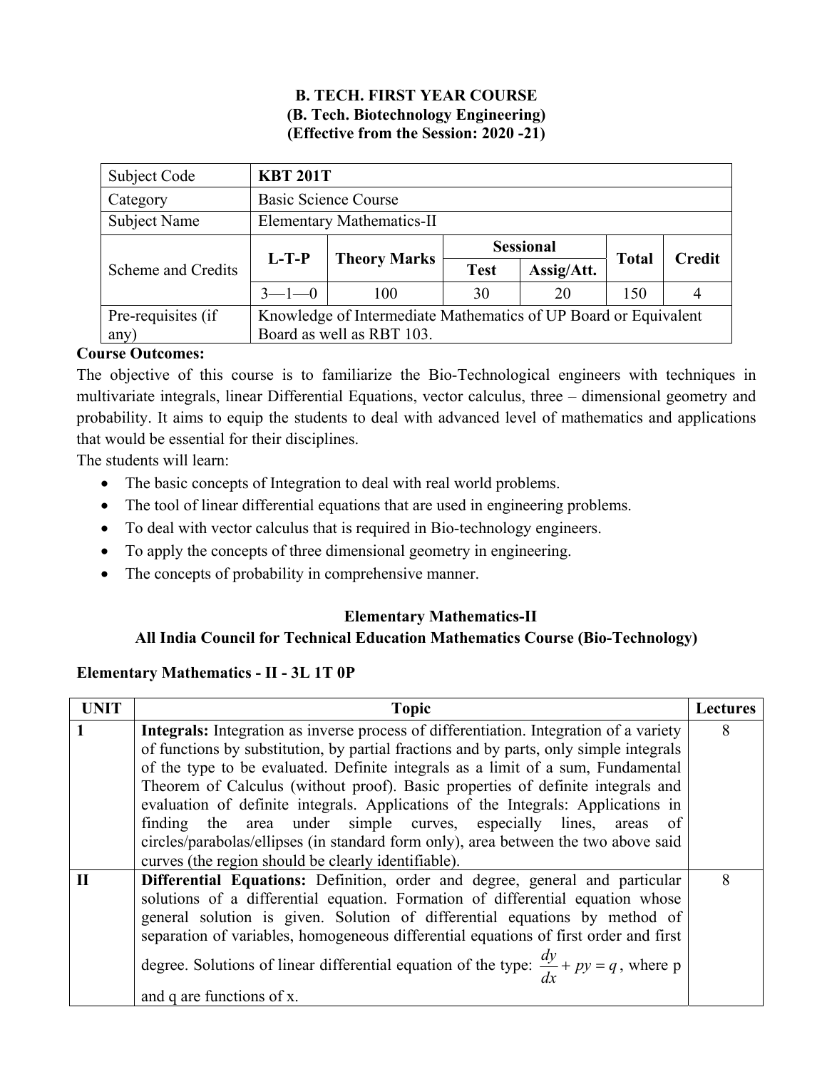#### **B. TECH. FIRST YEAR COURSE (B. Tech. Biotechnology Engineering) (Effective from the Session: 2020 -21)**

| Subject Code                     | <b>KBT 201T</b>                                                 |                                  |             |                  |              |               |  |  |  |
|----------------------------------|-----------------------------------------------------------------|----------------------------------|-------------|------------------|--------------|---------------|--|--|--|
| Category                         |                                                                 | <b>Basic Science Course</b>      |             |                  |              |               |  |  |  |
| <b>Subject Name</b>              |                                                                 | <b>Elementary Mathematics-II</b> |             |                  |              |               |  |  |  |
|                                  |                                                                 |                                  |             | <b>Sessional</b> |              |               |  |  |  |
| Scheme and Credits               | $L-T-P$                                                         | <b>Theory Marks</b>              | <b>Test</b> | Assig/Att.       | <b>Total</b> | <b>Credit</b> |  |  |  |
|                                  | $3 - 1 - 0$                                                     | 100                              | 30          | 20               | 150          | 4             |  |  |  |
| Pre-requisites (if               | Knowledge of Intermediate Mathematics of UP Board or Equivalent |                                  |             |                  |              |               |  |  |  |
| Board as well as RBT 103.<br>any |                                                                 |                                  |             |                  |              |               |  |  |  |

## **Course Outcomes:**

The objective of this course is to familiarize the Bio-Technological engineers with techniques in multivariate integrals, linear Differential Equations, vector calculus, three – dimensional geometry and probability. It aims to equip the students to deal with advanced level of mathematics and applications that would be essential for their disciplines.

The students will learn:

- The basic concepts of Integration to deal with real world problems.
- The tool of linear differential equations that are used in engineering problems.
- To deal with vector calculus that is required in Bio-technology engineers.
- To apply the concepts of three dimensional geometry in engineering.
- The concepts of probability in comprehensive manner.

#### **Elementary Mathematics-II**

#### **All India Council for Technical Education Mathematics Course (Bio-Technology)**

#### **Elementary Mathematics - II - 3L 1T 0P**

| <b>UNIT</b>  | <b>Topic</b>                                                                                      | <b>Lectures</b> |  |
|--------------|---------------------------------------------------------------------------------------------------|-----------------|--|
|              | Integrals: Integration as inverse process of differentiation. Integration of a variety            | 8               |  |
|              | of functions by substitution, by partial fractions and by parts, only simple integrals            |                 |  |
|              | of the type to be evaluated. Definite integrals as a limit of a sum, Fundamental                  |                 |  |
|              | Theorem of Calculus (without proof). Basic properties of definite integrals and                   |                 |  |
|              | evaluation of definite integrals. Applications of the Integrals: Applications in                  |                 |  |
|              | finding the area under simple curves, especially lines, areas<br><sub>of</sub>                    |                 |  |
|              | circles/parabolas/ellipses (in standard form only), area between the two above said               |                 |  |
|              | curves (the region should be clearly identifiable).                                               |                 |  |
| $\mathbf{I}$ | Differential Equations: Definition, order and degree, general and particular                      | 8               |  |
|              | solutions of a differential equation. Formation of differential equation whose                    |                 |  |
|              | general solution is given. Solution of differential equations by method of                        |                 |  |
|              | separation of variables, homogeneous differential equations of first order and first              |                 |  |
|              | degree. Solutions of linear differential equation of the type: $\frac{dy}{dx} + py = q$ , where p |                 |  |
|              | and q are functions of x.                                                                         |                 |  |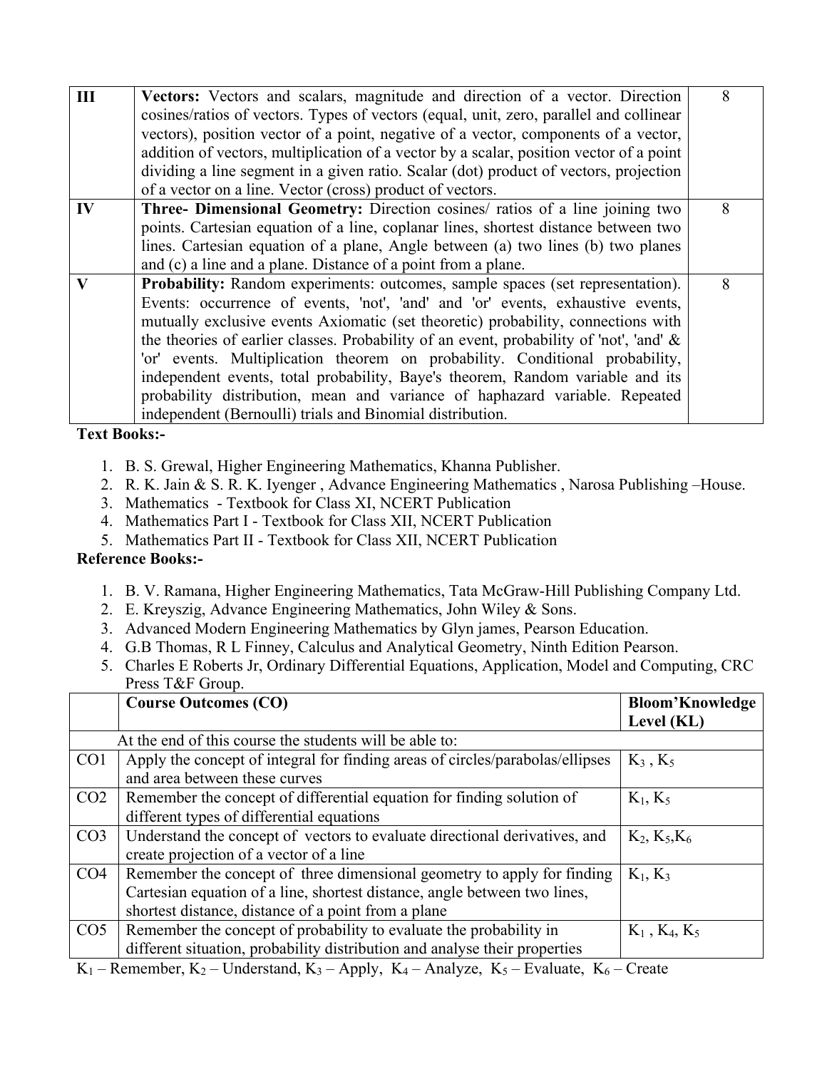| III | Vectors: Vectors and scalars, magnitude and direction of a vector. Direction               | 8 |
|-----|--------------------------------------------------------------------------------------------|---|
|     | cosines/ratios of vectors. Types of vectors (equal, unit, zero, parallel and collinear     |   |
|     | vectors), position vector of a point, negative of a vector, components of a vector,        |   |
|     | addition of vectors, multiplication of a vector by a scalar, position vector of a point    |   |
|     | dividing a line segment in a given ratio. Scalar (dot) product of vectors, projection      |   |
|     | of a vector on a line. Vector (cross) product of vectors.                                  |   |
| IV  | Three- Dimensional Geometry: Direction cosines/ ratios of a line joining two               | 8 |
|     | points. Cartesian equation of a line, coplanar lines, shortest distance between two        |   |
|     | lines. Cartesian equation of a plane, Angle between (a) two lines (b) two planes           |   |
|     | and (c) a line and a plane. Distance of a point from a plane.                              |   |
| V   | Probability: Random experiments: outcomes, sample spaces (set representation).             | 8 |
|     | Events: occurrence of events, 'not', 'and' and 'or' events, exhaustive events,             |   |
|     | mutually exclusive events Axiomatic (set theoretic) probability, connections with          |   |
|     | the theories of earlier classes. Probability of an event, probability of 'not', 'and' $\&$ |   |
|     | 'or' events. Multiplication theorem on probability. Conditional probability,               |   |
|     | independent events, total probability, Baye's theorem, Random variable and its             |   |
|     | probability distribution, mean and variance of haphazard variable. Repeated                |   |
|     | independent (Bernoulli) trials and Binomial distribution.                                  |   |

**Text Books:-** 

- 1. B. S. Grewal, Higher Engineering Mathematics, Khanna Publisher.
- 2. R. K. Jain & S. R. K. Iyenger , Advance Engineering Mathematics , Narosa Publishing –House.
- 3. Mathematics Textbook for Class XI, NCERT Publication
- 4. Mathematics Part I Textbook for Class XII, NCERT Publication
- 5. Mathematics Part II Textbook for Class XII, NCERT Publication

#### **Reference Books:-**

- 1. B. V. Ramana, Higher Engineering Mathematics, Tata McGraw-Hill Publishing Company Ltd.
- 2. E. Kreyszig, Advance Engineering Mathematics, John Wiley & Sons.
- 3. Advanced Modern Engineering Mathematics by Glyn james, Pearson Education.
- 4. G.B Thomas, R L Finney, Calculus and Analytical Geometry, Ninth Edition Pearson.
- 5. Charles E Roberts Jr, Ordinary Differential Equations, Application, Model and Computing, CRC Press T&F Group.

|                 | <b>Course Outcomes (CO)</b>                                                                                                          | <b>Bloom'Knowledge</b><br>Level (KL) |
|-----------------|--------------------------------------------------------------------------------------------------------------------------------------|--------------------------------------|
|                 | At the end of this course the students will be able to:                                                                              |                                      |
| CO <sub>1</sub> | Apply the concept of integral for finding areas of circles/parabolas/ellipses                                                        | $K_3, K_5$                           |
|                 | and area between these curves                                                                                                        |                                      |
| CO <sub>2</sub> | Remember the concept of differential equation for finding solution of                                                                | $K_1, K_5$                           |
|                 | different types of differential equations                                                                                            |                                      |
| CO <sub>3</sub> | Understand the concept of vectors to evaluate directional derivatives, and                                                           | $K_2, K_5, K_6$                      |
|                 | create projection of a vector of a line                                                                                              |                                      |
| CO <sub>4</sub> | Remember the concept of three dimensional geometry to apply for finding                                                              | $K_1, K_3$                           |
|                 | Cartesian equation of a line, shortest distance, angle between two lines,                                                            |                                      |
|                 | shortest distance, distance of a point from a plane                                                                                  |                                      |
| CO <sub>5</sub> | Remember the concept of probability to evaluate the probability in                                                                   | $K_1$ , $K_4$ , $K_5$                |
|                 | different situation, probability distribution and analyse their properties                                                           |                                      |
|                 | $V = D_1, \ldots, L = V$ If $1, \ldots, L = I$ $V = A_1, \ldots, L = V$ $A_2, \ldots, L = V$ $E_1, \ldots, L = V$ $C_2, \ldots, C_n$ |                                      |

 $K_1$  – Remember,  $K_2$  – Understand,  $K_3$  – Apply,  $K_4$  – Analyze,  $K_5$  – Evaluate,  $K_6$  – Create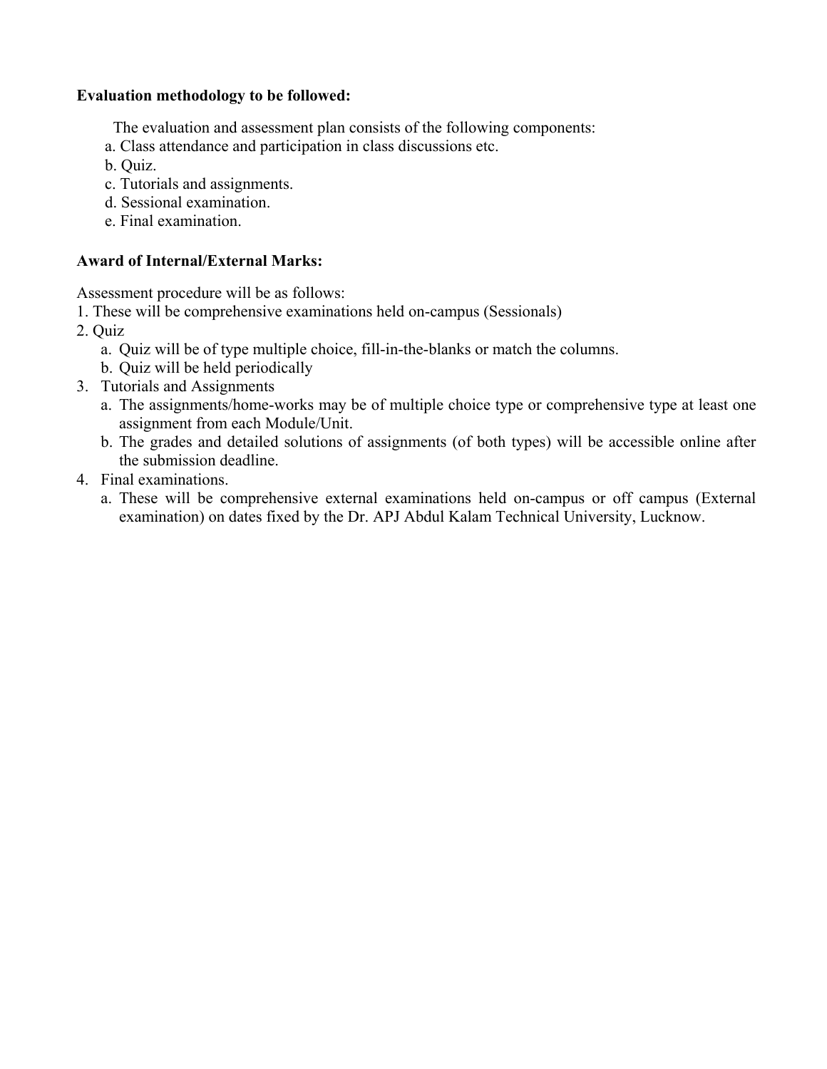#### **Evaluation methodology to be followed:**

- The evaluation and assessment plan consists of the following components:
- a. Class attendance and participation in class discussions etc.
- b. Quiz.
- c. Tutorials and assignments.
- d. Sessional examination.
- e. Final examination.

## **Award of Internal/External Marks:**

Assessment procedure will be as follows:

- 1. These will be comprehensive examinations held on-campus (Sessionals)
- 2. Quiz
	- a. Quiz will be of type multiple choice, fill-in-the-blanks or match the columns.
	- b. Quiz will be held periodically
- 3. Tutorials and Assignments
	- a. The assignments/home-works may be of multiple choice type or comprehensive type at least one assignment from each Module/Unit.
	- b. The grades and detailed solutions of assignments (of both types) will be accessible online after the submission deadline.
- 4. Final examinations.
	- a. These will be comprehensive external examinations held on-campus or off campus (External examination) on dates fixed by the Dr. APJ Abdul Kalam Technical University, Lucknow.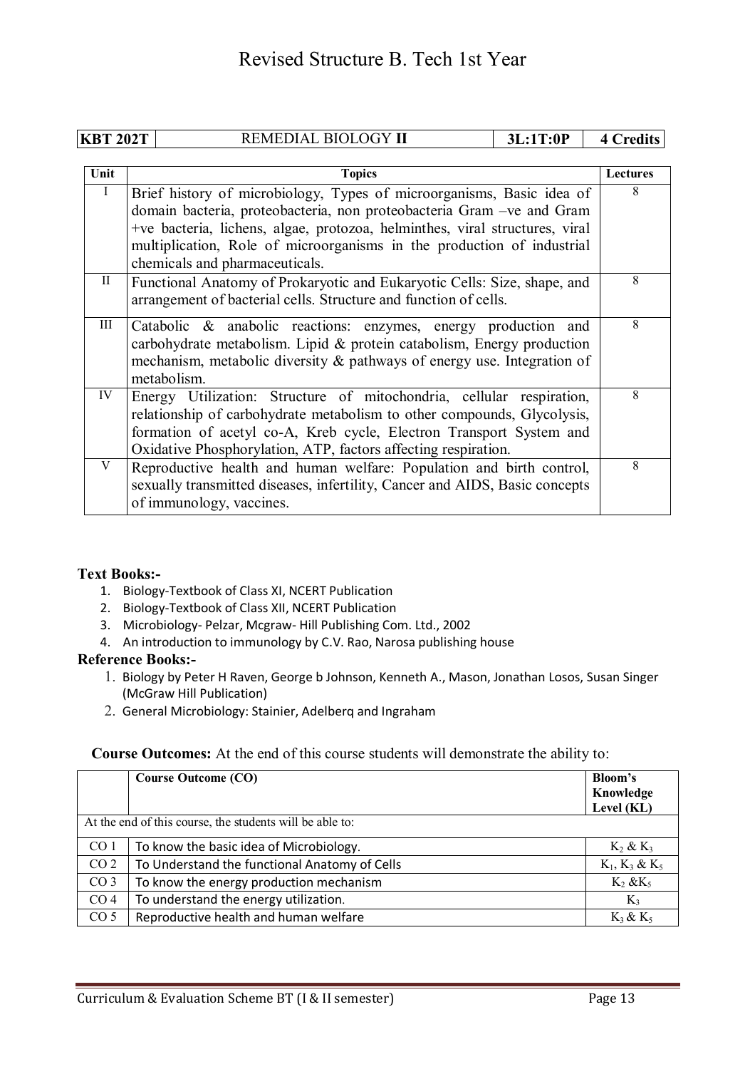|             | <b>KBT 202T</b><br>REMEDIAL BIOLOGY II<br>3L:1T:0P |                                                                                                                                                                                                                                                                                                                                            | <b>4 Credits</b> |                 |
|-------------|----------------------------------------------------|--------------------------------------------------------------------------------------------------------------------------------------------------------------------------------------------------------------------------------------------------------------------------------------------------------------------------------------------|------------------|-----------------|
|             |                                                    |                                                                                                                                                                                                                                                                                                                                            |                  |                 |
| Unit        |                                                    | <b>Topics</b>                                                                                                                                                                                                                                                                                                                              |                  | <b>Lectures</b> |
| Ι           |                                                    | Brief history of microbiology, Types of microorganisms, Basic idea of<br>domain bacteria, proteobacteria, non proteobacteria Gram - ve and Gram<br>+ve bacteria, lichens, algae, protozoa, helminthes, viral structures, viral<br>multiplication, Role of microorganisms in the production of industrial<br>chemicals and pharmaceuticals. |                  | 8               |
| $\rm{II}$   |                                                    | Functional Anatomy of Prokaryotic and Eukaryotic Cells: Size, shape, and<br>arrangement of bacterial cells. Structure and function of cells.                                                                                                                                                                                               |                  | 8               |
| III         | metabolism.                                        | Catabolic & anabolic reactions: enzymes, energy production and<br>carbohydrate metabolism. Lipid & protein catabolism, Energy production<br>mechanism, metabolic diversity & pathways of energy use. Integration of                                                                                                                        |                  | 8               |
| IV          |                                                    | Energy Utilization: Structure of mitochondria, cellular respiration,<br>relationship of carbohydrate metabolism to other compounds, Glycolysis,<br>formation of acetyl co-A, Kreb cycle, Electron Transport System and<br>Oxidative Phosphorylation, ATP, factors affecting respiration.                                                   |                  | 8               |
| $\mathbf V$ | of immunology, vaccines.                           | Reproductive health and human welfare: Population and birth control,<br>sexually transmitted diseases, infertility, Cancer and AIDS, Basic concepts                                                                                                                                                                                        |                  | 8               |

#### **Text Books:-**

- 1. Biology-Textbook of Class XI, NCERT Publication
- 2. Biology-Textbook of Class XII, NCERT Publication
- 3. Microbiology- Pelzar, Mcgraw- Hill Publishing Com. Ltd., 2002
- 4. An introduction to immunology by C.V. Rao, Narosa publishing house

#### **Reference Books:-**

- 1. Biology by Peter H Raven, George b Johnson, Kenneth A., Mason, Jonathan Losos, Susan Singer (McGraw Hill Publication)
- 2. General Microbiology: Stainier, Adelberq and Ingraham

#### **Course Outcomes:** At the end of this course students will demonstrate the ability to:

|                 | <b>Course Outcome (CO)</b>                               | Bloom's           |
|-----------------|----------------------------------------------------------|-------------------|
|                 |                                                          | Knowledge         |
|                 |                                                          | Level (KL)        |
|                 | At the end of this course, the students will be able to: |                   |
| CO <sub>1</sub> | To know the basic idea of Microbiology.                  | $K_2$ & $K_3$     |
| CO <sub>2</sub> | To Understand the functional Anatomy of Cells            | $K_1, K_3 \& K_5$ |
| CO <sub>3</sub> | To know the energy production mechanism                  | $K_2$ & $K_5$     |
| CO <sub>4</sub> | To understand the energy utilization.                    | $K_3$             |
| CO <sub>5</sub> | Reproductive health and human welfare                    | $K_3 \& K_5$      |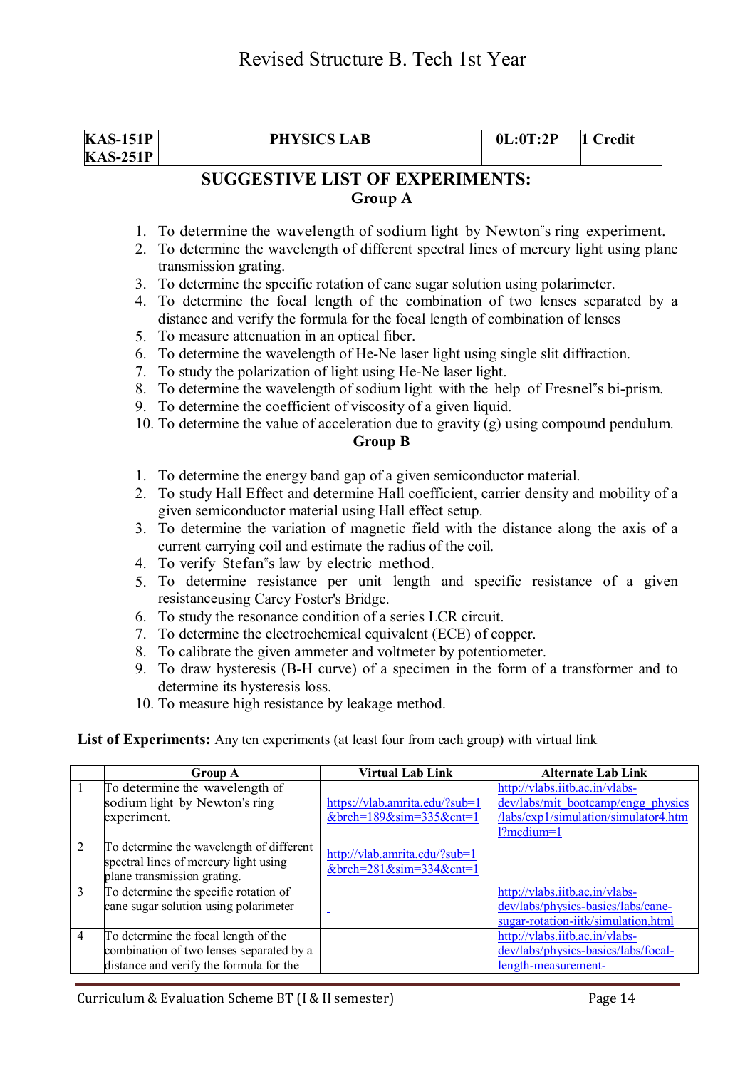| <b>KAS-151P</b><br><b>KAS-251P</b> | <b>PHYSICS LAB</b>                                                                                                                                                                                                                                   |                                                                                            | 0L:0T:2P | 1 Credit                  |
|------------------------------------|------------------------------------------------------------------------------------------------------------------------------------------------------------------------------------------------------------------------------------------------------|--------------------------------------------------------------------------------------------|----------|---------------------------|
|                                    |                                                                                                                                                                                                                                                      | <b>SUGGESTIVE LIST OF EXPERIMENTS:</b>                                                     |          |                           |
|                                    |                                                                                                                                                                                                                                                      | Group A                                                                                    |          |                           |
|                                    |                                                                                                                                                                                                                                                      | 1. To determine the wavelength of sodium light by Newton"s ring experiment.                |          |                           |
| 2.                                 | To determine the wavelength of different spectral lines of mercury light using plane<br>transmission grating.                                                                                                                                        |                                                                                            |          |                           |
|                                    |                                                                                                                                                                                                                                                      |                                                                                            |          |                           |
|                                    | 3. To determine the specific rotation of cane sugar solution using polarimeter.<br>4. To determine the focal length of the combination of two lenses separated by a<br>distance and verify the formula for the focal length of combination of lenses |                                                                                            |          |                           |
|                                    | 5. To measure attenuation in an optical fiber.                                                                                                                                                                                                       |                                                                                            |          |                           |
|                                    |                                                                                                                                                                                                                                                      | 6. To determine the wavelength of He-Ne laser light using single slit diffraction.         |          |                           |
| 7.                                 |                                                                                                                                                                                                                                                      | To study the polarization of light using He-Ne laser light.                                |          |                           |
|                                    |                                                                                                                                                                                                                                                      | 8. To determine the wavelength of sodium light with the help of Fresnel"s bi-prism.        |          |                           |
|                                    |                                                                                                                                                                                                                                                      | 9. To determine the coefficient of viscosity of a given liquid.                            |          |                           |
|                                    | 10. To determine the value of acceleration due to gravity (g) using compound pendulum.                                                                                                                                                               |                                                                                            |          |                           |
|                                    |                                                                                                                                                                                                                                                      | <b>Group B</b>                                                                             |          |                           |
|                                    |                                                                                                                                                                                                                                                      | 1. To determine the energy band gap of a given semiconductor material.                     |          |                           |
|                                    | 2. To study Hall Effect and determine Hall coefficient, carrier density and mobility of a                                                                                                                                                            |                                                                                            |          |                           |
|                                    | given semiconductor material using Hall effect setup.                                                                                                                                                                                                |                                                                                            |          |                           |
|                                    |                                                                                                                                                                                                                                                      | 3. To determine the variation of magnetic field with the distance along the axis of a      |          |                           |
|                                    |                                                                                                                                                                                                                                                      | current carrying coil and estimate the radius of the coil.                                 |          |                           |
|                                    | 4. To verify Stefan"s law by electric method.                                                                                                                                                                                                        |                                                                                            |          |                           |
|                                    |                                                                                                                                                                                                                                                      | 5. To determine resistance per unit length and specific resistance of a given              |          |                           |
|                                    | resistanceusing Carey Foster's Bridge.                                                                                                                                                                                                               |                                                                                            |          |                           |
|                                    | 6. To study the resonance condition of a series LCR circuit.<br>7. To determine the electrochemical equivalent (ECE) of copper.                                                                                                                      |                                                                                            |          |                           |
|                                    |                                                                                                                                                                                                                                                      |                                                                                            |          |                           |
|                                    |                                                                                                                                                                                                                                                      | 8. To calibrate the given ammeter and voltmeter by potentiometer.                          |          |                           |
|                                    | determine its hysteresis loss.                                                                                                                                                                                                                       | 9. To draw hysteresis (B-H curve) of a specimen in the form of a transformer and to        |          |                           |
|                                    | 10. To measure high resistance by leakage method.                                                                                                                                                                                                    |                                                                                            |          |                           |
|                                    |                                                                                                                                                                                                                                                      |                                                                                            |          |                           |
|                                    |                                                                                                                                                                                                                                                      | List of Experiments: Any ten experiments (at least four from each group) with virtual link |          |                           |
|                                    | <b>Group A</b>                                                                                                                                                                                                                                       | <b>Virtual Lab Link</b>                                                                    |          | <b>Alternate Lab Link</b> |

|                | Group A                                                                                                                     | <b>Virtual Lab Link</b>                                              | <b>Alternate Lab Link</b>                                                                                                        |
|----------------|-----------------------------------------------------------------------------------------------------------------------------|----------------------------------------------------------------------|----------------------------------------------------------------------------------------------------------------------------------|
|                | To determine the wavelength of<br>sodium light by Newton's ring<br>experiment.                                              | https://vlab.amrita.edu/?sub=1<br>$&$ brch=189 $&$ sim=335 $&$ cnt=1 | http://vlabs.iitb.ac.in/vlabs-<br>dev/labs/mit bootcamp/engg physics<br>/labs/exp1/simulation/simulator4.htm<br>$12$ medium= $1$ |
| 2              | To determine the wavelength of different<br>spectral lines of mercury light using<br>plane transmission grating.            | http://vlab.amrita.edu/?sub=1<br>&brch= $281$ ∼= $334$ &cnt= $1$     |                                                                                                                                  |
| 3              | To determine the specific rotation of<br>cane sugar solution using polarimeter                                              |                                                                      | http://vlabs.iitb.ac.in/vlabs-<br>dev/labs/physics-basics/labs/cane-<br>sugar-rotation-iitk/simulation.html                      |
| $\overline{4}$ | To determine the focal length of the<br>combination of two lenses separated by a<br>distance and verify the formula for the |                                                                      | http://vlabs.iitb.ac.in/vlabs-<br>dev/labs/physics-basics/labs/focal-<br>length-measurement-                                     |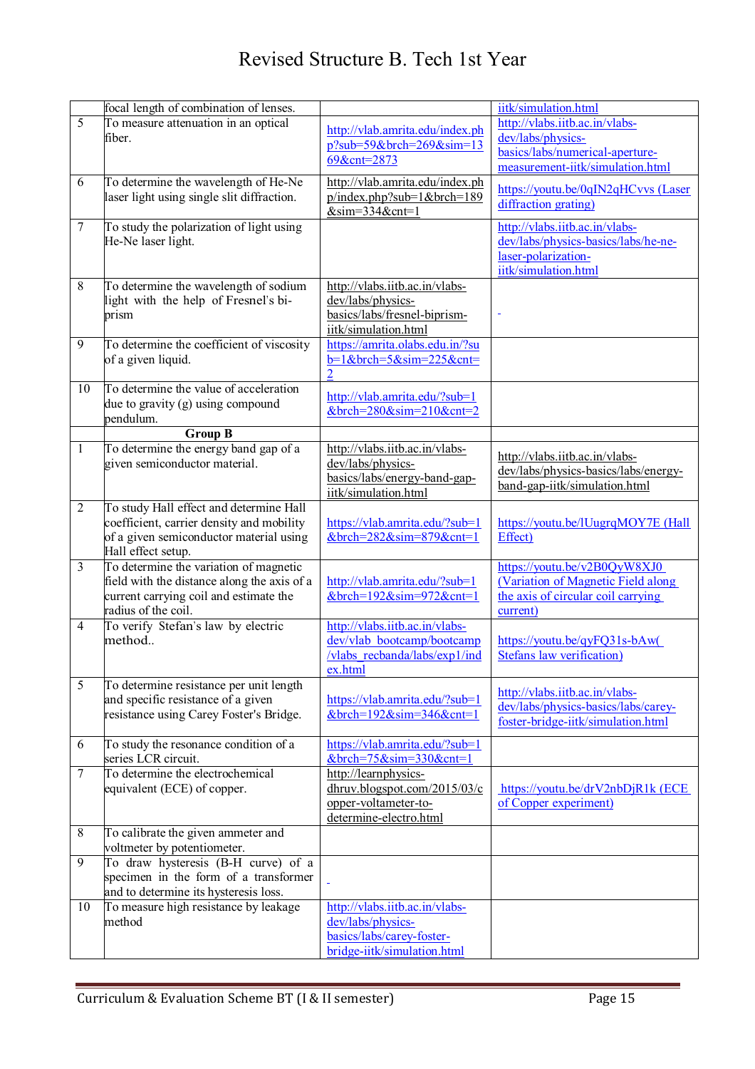|                | focal length of combination of lenses.                                             |                                                                                  | iitk/simulation.html                                        |
|----------------|------------------------------------------------------------------------------------|----------------------------------------------------------------------------------|-------------------------------------------------------------|
| $\overline{5}$ | To measure attenuation in an optical                                               |                                                                                  | http://vlabs.iitb.ac.in/vlabs-                              |
|                | fiber.                                                                             | http://vlab.amrita.edu/index.ph<br>$p?sub=59$ &brch=269∼=13                      | dev/labs/physics-                                           |
|                |                                                                                    | 69&cnt=2873                                                                      | basics/labs/numerical-aperture-                             |
|                |                                                                                    |                                                                                  | measurement-iitk/simulation.html                            |
| 6              | To determine the wavelength of He-Ne<br>laser light using single slit diffraction. | http://vlab.amrita.edu/index.ph<br>$p/index.php?sub=1&brch=189$<br>$∼=334&cnt=1$ | https://youtu.be/0qIN2qHCvvs (Laser<br>diffraction grating) |
| $\overline{7}$ | To study the polarization of light using                                           |                                                                                  | http://vlabs.iitb.ac.in/vlabs-                              |
|                | He-Ne laser light.                                                                 |                                                                                  | dev/labs/physics-basics/labs/he-ne-                         |
|                |                                                                                    |                                                                                  | laser-polarization-                                         |
|                |                                                                                    |                                                                                  | iitk/simulation.html                                        |
| 8              | To determine the wavelength of sodium                                              | http://vlabs.iitb.ac.in/vlabs-                                                   |                                                             |
|                | light with the help of Fresnel's bi-                                               | dev/labs/physics-                                                                |                                                             |
|                | prism                                                                              | basics/labs/fresnel-biprism-                                                     |                                                             |
|                |                                                                                    | iitk/simulation.html                                                             |                                                             |
| 9              | To determine the coefficient of viscosity                                          | https://amrita.olabs.edu.in/?su                                                  |                                                             |
|                | of a given liquid.                                                                 | $b=1$ &brch=5∼=225&cnt=                                                          |                                                             |
|                | To determine the value of acceleration                                             |                                                                                  |                                                             |
| 10             | due to gravity (g) using compound                                                  | http://vlab.amrita.edu/?sub=1                                                    |                                                             |
|                | pendulum.                                                                          | $&\text{broh=280}$ ∼=210&cnt=2                                                   |                                                             |
|                | $Group\overline{B}$                                                                |                                                                                  |                                                             |
| $\mathbf{1}$   | To determine the energy band gap of a                                              | http://vlabs.iitb.ac.in/vlabs-                                                   |                                                             |
|                | given semiconductor material.                                                      | dev/labs/physics-                                                                | http://vlabs.iitb.ac.in/vlabs-                              |
|                |                                                                                    | basics/labs/energy-band-gap-                                                     | dev/labs/physics-basics/labs/energy-                        |
|                |                                                                                    | iitk/simulation.html                                                             | band-gap-iitk/simulation.html                               |
| $\overline{2}$ | To study Hall effect and determine Hall                                            |                                                                                  |                                                             |
|                | coefficient, carrier density and mobility                                          | https://vlab.amrita.edu/?sub=1                                                   | https://youtu.be/lUugrqMOY7E (Hall                          |
|                | of a given semiconductor material using                                            | &brch= $282$ ∼= $879$ &cnt=1                                                     | Effect)                                                     |
|                | Hall effect setup.                                                                 |                                                                                  |                                                             |
| $\overline{3}$ | To determine the variation of magnetic                                             |                                                                                  | https://youtu.be/v2B0QyW8XJ0                                |
|                | field with the distance along the axis of a                                        | http://vlab.amrita.edu/?sub=1                                                    | (Variation of Magnetic Field along                          |
|                | current carrying coil and estimate the                                             | &brch= $192$ ∼= $972$ &cnt=1                                                     | the axis of circular coil carrying                          |
|                | radius of the coil.                                                                |                                                                                  | current)                                                    |
| $\overline{4}$ | To verify Stefan's law by electric<br>method                                       | http://vlabs.iitb.ac.in/vlabs-<br>dev/vlab bootcamp/bootcamp                     | https://youtu.be/gyFQ31s-bAw(                               |
|                |                                                                                    | /vlabs recbanda/labs/exp1/ind                                                    | Stefans law verification)                                   |
|                |                                                                                    | ex.html                                                                          |                                                             |
| $\overline{5}$ | To determine resistance per unit length                                            |                                                                                  |                                                             |
|                | and specific resistance of a given                                                 | https://vlab.amrita.edu/?sub=1                                                   | http://vlabs.iitb.ac.in/vlabs-                              |
|                | resistance using Carey Foster's Bridge.                                            | $&$ brch=192 $&$ sim=346 $&$ cnt=1                                               | dev/labs/physics-basics/labs/carey-                         |
|                |                                                                                    |                                                                                  | foster-bridge-iitk/simulation.html                          |
| 6              | To study the resonance condition of a                                              | https://vlab.amrita.edu/?sub=1                                                   |                                                             |
|                | series LCR circuit.                                                                | $&$ brch=75 $&$ sim=330 $&$ cnt=1                                                |                                                             |
| $\tau$         | To determine the electrochemical                                                   | http://learnphysics-                                                             |                                                             |
|                | equivalent (ECE) of copper.                                                        | dhruv.blogspot.com/2015/03/c                                                     | $https://youtu.be/drV2nbDjR1k (ECE$                         |
|                |                                                                                    | opper-voltameter-to-                                                             | of Copper experiment)                                       |
|                |                                                                                    | determine-electro.html                                                           |                                                             |
| 8              | To calibrate the given ammeter and<br>voltmeter by potentiometer.                  |                                                                                  |                                                             |
| 9              | To draw hysteresis (B-H curve) of a                                                |                                                                                  |                                                             |
|                | specimen in the form of a transformer                                              |                                                                                  |                                                             |
|                | and to determine its hysteresis loss.                                              |                                                                                  |                                                             |
| 10             | To measure high resistance by leakage                                              | http://vlabs.iitb.ac.in/vlabs-                                                   |                                                             |
|                | method                                                                             | dev/labs/physics-                                                                |                                                             |
|                |                                                                                    | basics/labs/carey-foster-                                                        |                                                             |
|                |                                                                                    | bridge-iitk/simulation.html                                                      |                                                             |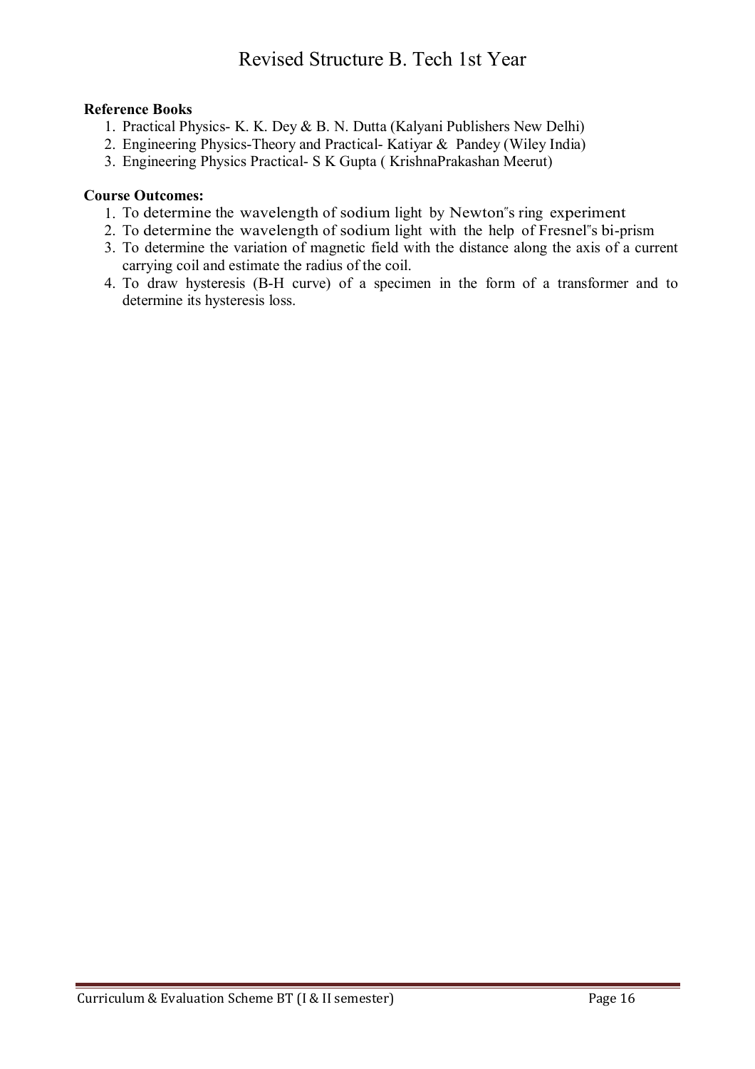## **Reference Books**

- 1. Practical Physics- K. K. Dey & B. N. Dutta (Kalyani Publishers New Delhi)
- 2. Engineering Physics-Theory and Practical- Katiyar & Pandey (Wiley India)
- 3. Engineering Physics Practical- S K Gupta ( KrishnaPrakashan Meerut)

## **Course Outcomes:**

- 1. To determine the wavelength of sodium light by Newton"s ring experiment
- 2. To determine the wavelength of sodium light with the help of Fresnel"s bi-prism
- 3. To determine the variation of magnetic field with the distance along the axis of a current carrying coil and estimate the radius of the coil.
- 4. To draw hysteresis (B-H curve) of a specimen in the form of a transformer and to determine its hysteresis loss.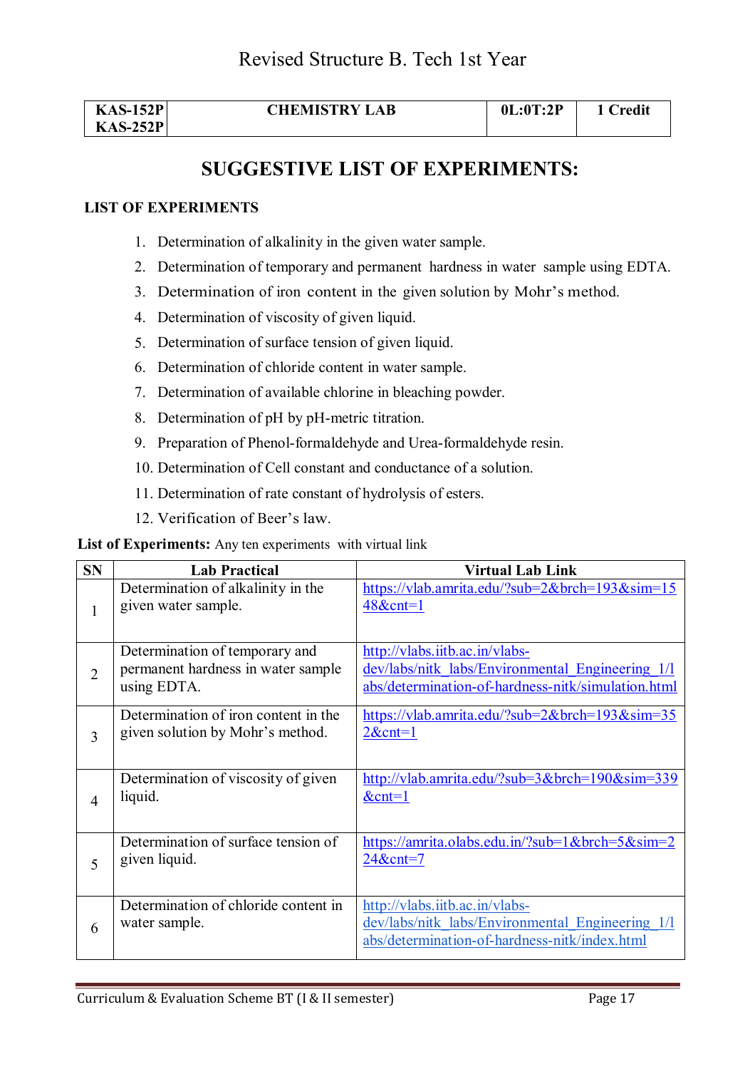| <b>KAS-152P</b> | <b>CHEMISTRY LAB</b> | 0L:0T:2P | 1 Credit |
|-----------------|----------------------|----------|----------|
| $KAS-252P$      |                      |          |          |

# **SUGGESTIVE LIST OF EXPERIMENTS:**

#### **LIST OF EXPERIMENTS**

- 1. Determination of alkalinity in the given water sample.
- 2. Determination of temporary and permanent hardness in water sample using EDTA.
- 3. Determination of iron content in the given solution by Mohr's method.
- 4. Determination of viscosity of given liquid.
- 5. Determination of surface tension of given liquid.
- 6. Determination of chloride content in water sample.
- 7. Determination of available chlorine in bleaching powder.
- 8. Determination of pH by pH-metric titration.
- 9. Preparation of Phenol-formaldehyde and Urea-formaldehyde resin.
- 10. Determination of Cell constant and conductance of a solution.
- 11. Determination of rate constant of hydrolysis of esters.
- 12. Verification of Beer's law.

**List of Experiments:** Any ten experiments with virtual link

| <b>SN</b>      | <b>Lab Practical</b>                                                                | <b>Virtual Lab Link</b>                                                                                                                  |
|----------------|-------------------------------------------------------------------------------------|------------------------------------------------------------------------------------------------------------------------------------------|
| 1              | Determination of alkalinity in the<br>given water sample.                           | https://vlab.amrita.edu/?sub= $2&$ brch= $193&sim=15$<br>48&cnt=1                                                                        |
| $\overline{2}$ | Determination of temporary and<br>permanent hardness in water sample<br>using EDTA. | http://vlabs.iitb.ac.in/vlabs-<br>dev/labs/nitk_labs/Environmental_Engineering_1/l<br>abs/determination-of-hardness-nitk/simulation.html |
| 3              | Determination of iron content in the<br>given solution by Mohr's method.            | https://vlab.amrita.edu/?sub= $2&b$ rch= $193&sim=35$<br>$2&$ cnt=1                                                                      |
| $\overline{4}$ | Determination of viscosity of given<br>liquid.                                      | http://vlab.amrita.edu/?sub=3&brch=190∼=339<br>$&$ cnt=1                                                                                 |
| 5              | Determination of surface tension of<br>given liquid.                                | https://amrita.olabs.edu.in/?sub=1&brch=5∼=2<br>24&cnt=7                                                                                 |
| 6              | Determination of chloride content in<br>water sample.                               | http://vlabs.iitb.ac.in/vlabs-<br>dev/labs/nitk labs/Environmental Engineering 1/1<br>abs/determination-of-hardness-nitk/index.html      |